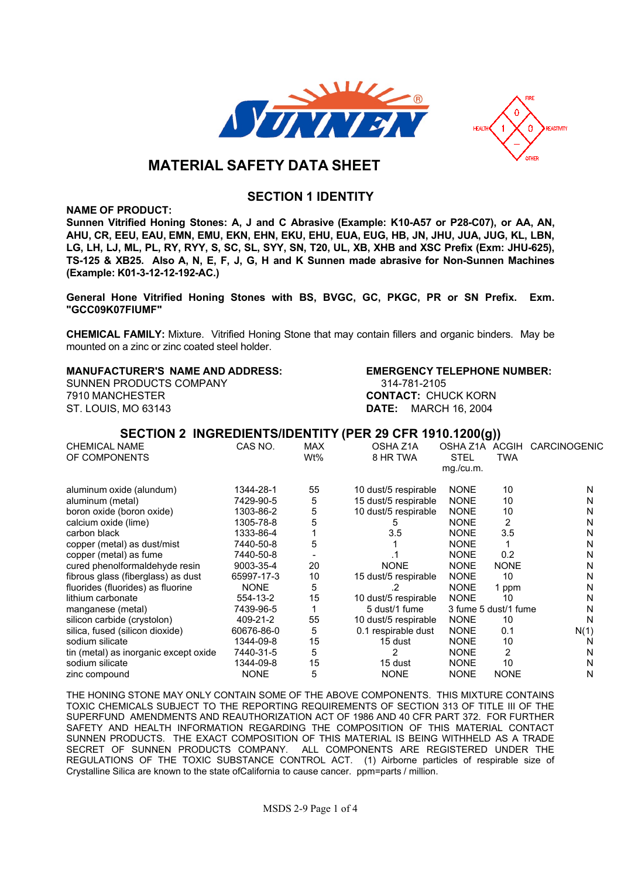



# **MATERIAL SAFETY DATA SHEET**

## **SECTION 1 IDENTITY**

**NAME OF PRODUCT:**

**Sunnen Vitrified Honing Stones: A, J and C Abrasive (Example: K10-A57 or P28-C07), or AA, AN, AHU, CR, EEU, EAU, EMN, EMU, EKN, EHN, EKU, EHU, EUA, EUG, HB, JN, JHU, JUA, JUG, KL, LBN, LG, LH, LJ, ML, PL, RY, RYY, S, SC, SL, SYY, SN, T20, UL, XB, XHB and XSC Prefix (Exm: JHU-625), TS-125 & XB25. Also A, N, E, F, J, G, H and K Sunnen made abrasive for Non-Sunnen Machines (Example: K01-3-12-12-192-AC.)**

**General Hone Vitrified Honing Stones with BS, BVGC, GC, PKGC, PR or SN Prefix. Exm. "GCC09K07FIUMF"**

**CHEMICAL FAMILY: Mixture. Vitrified Honing Stone that may contain fillers and organic binders. May be mounted on a zinc or zinc coated steel holder.**

#### **MANUFACTURER'S NAME AND ADDRESS: EMERGENCY TELEPHONE NUMBER:**

**SUNNEN PRODUCTS COMPANY 314-781-2105 7910 MANCHESTER CONTACT: CHUCK KORN ST. LOUIS, MO 63143 DATE: MARCH 16, 2004**

### **SECTION 2 INGREDIENTS/IDENTITY (PER 29 CFR 1910.1200(g))**

| <b>CHEMICAL NAME</b>                  | CAS NO.     | <b>MAX</b> | OSHA Z1A             | OSHA Z1A             | <b>ACGIH</b> | CARCINOGENIC |
|---------------------------------------|-------------|------------|----------------------|----------------------|--------------|--------------|
| OF COMPONENTS                         |             | Wt%        | 8 HR TWA             | <b>STEL</b>          | <b>TWA</b>   |              |
|                                       |             |            |                      | mg./cu.m.            |              |              |
| aluminum oxide (alundum)              | 1344-28-1   | 55         | 10 dust/5 respirable | <b>NONE</b>          | 10           | N            |
| aluminum (metal)                      | 7429-90-5   | 5          | 15 dust/5 respirable | <b>NONE</b>          | 10           | N            |
| boron oxide (boron oxide)             | 1303-86-2   | 5          | 10 dust/5 respirable | <b>NONE</b>          | 10           | N            |
| calcium oxide (lime)                  | 1305-78-8   | 5          | n.                   | <b>NONE</b>          | 2            | N            |
| carbon black                          | 1333-86-4   |            | 3.5                  | <b>NONE</b>          | 3.5          | N            |
| copper (metal) as dust/mist           | 7440-50-8   | 5          |                      | <b>NONE</b>          |              | N            |
| copper (metal) as fume                | 7440-50-8   |            |                      | <b>NONE</b>          | 0.2          | N            |
| cured phenolformaldehyde resin        | 9003-35-4   | 20         | <b>NONE</b>          | <b>NONE</b>          | <b>NONE</b>  | N            |
| fibrous glass (fiberglass) as dust    | 65997-17-3  | 10         | 15 dust/5 respirable | <b>NONE</b>          | 10           | N            |
| fluorides (fluorides) as fluorine     | <b>NONE</b> | 5          |                      | <b>NONE</b>          | 1 ppm        | N            |
| lithium carbonate                     | 554-13-2    | 15         | 10 dust/5 respirable | <b>NONE</b>          | 10           | N            |
| manganese (metal)                     | 7439-96-5   |            | 5 dust/1 fume        | 3 fume 5 dust/1 fume |              | N            |
| silicon carbide (crystolon)           | 409-21-2    | 55         | 10 dust/5 respirable | <b>NONE</b>          | 10           | N            |
| silica, fused (silicon dioxide)       | 60676-86-0  | 5          | 0.1 respirable dust  | <b>NONE</b>          | 0.1          | N(1)         |
| sodium silicate                       | 1344-09-8   | 15         | 15 dust              | <b>NONE</b>          | 10           | N            |
| tin (metal) as inorganic except oxide | 7440-31-5   | 5          | 2                    | <b>NONE</b>          | 2            | N            |
| sodium silicate                       | 1344-09-8   | 15         | 15 dust              | <b>NONE</b>          | 10           | N            |
| zinc compound                         | <b>NONE</b> | 5          | <b>NONE</b>          | <b>NONE</b>          | <b>NONE</b>  | N            |

**THE HONING STONE MAY ONLY CONTAIN SOME OF THE ABOVE COMPONENTS. THIS MIXTURE CONTAINS TOXIC CHEMICALS SUBJECT TO THE REPORTING REQUIREMENTS OF SECTION 313 OF TITLE III OF THE SUPERFUND AMENDMENTS AND REAUTHORIZATION ACT OF 1986 AND 40 CFR PART 372. FOR FURTHER SAFETY AND HEALTH INFORMATION REGARDING THE COMPOSITION OF THIS MATERIAL CONTACT SUNNEN PRODUCTS. THE EXACT COMPOSITION OF THIS MATERIAL IS BEING WITHHELD AS A TRADE SECRET OF SUNNEN PRODUCTS COMPANY. ALL COMPONENTS ARE REGISTERED UNDER THE REGULATIONS OF THE TOXIC SUBSTANCE CONTROL ACT. (1) Airborne particles of respirable size of Crystalline Silica are known to the state ofCalifornia to cause cancer. ppm=parts / million.**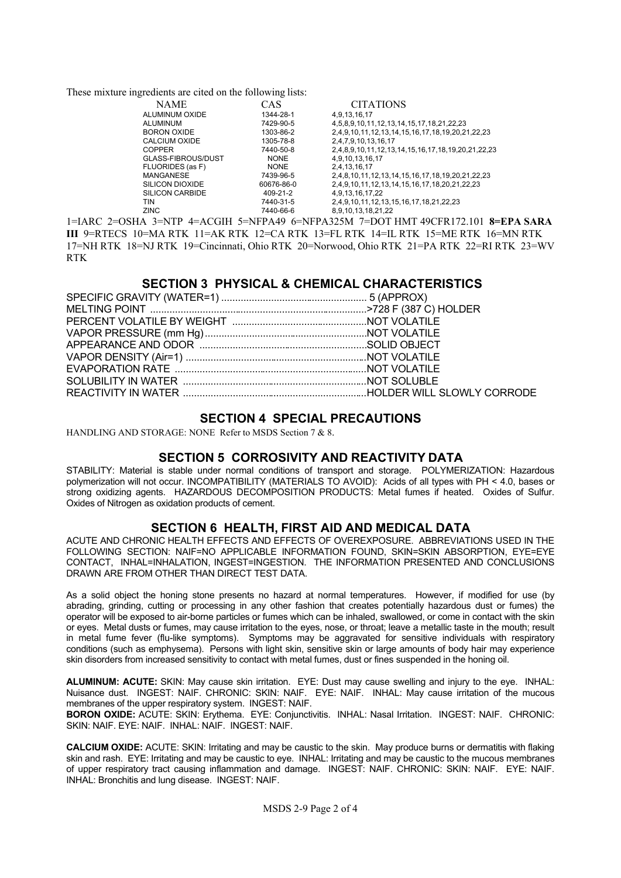**These mixture ingredients are cited on the following lists:**

| <b>NAME</b>            | CAS         | <b>CITATIONS</b>                                  |
|------------------------|-------------|---------------------------------------------------|
| ALUMINUM OXIDE         | 1344-28-1   | 4,9,13,16,17                                      |
| ALUMINUM               | 7429-90-5   | 4,5,8,9,10,11,12,13,14,15,17,18,21,22,23          |
| <b>BORON OXIDE</b>     | 1303-86-2   | 2,4,9,10,11,12,13,14,15,16,17,18,19,20,21,22,23   |
| CALCIUM OXIDE          | 1305-78-8   | 2,4,7,9,10,13,16,17                               |
| <b>COPPER</b>          | 7440-50-8   | 2,4,8,9,10,11,12,13,14,15,16,17,18,19,20,21,22,23 |
| GLASS-FIBROUS/DUST     | <b>NONE</b> | 4,9,10,13,16,17                                   |
| FLUORIDES (as F)       | <b>NONE</b> | 2,4,13,16,17                                      |
| <b>MANGANESE</b>       | 7439-96-5   | 2,4,8,10,11,12,13,14,15,16,17,18,19,20,21,22,23   |
| <b>SILICON DIOXIDE</b> | 60676-86-0  | 2,4,9,10,11,12,13,14,15,16,17,18,20,21,22,23      |
| <b>SILICON CARBIDE</b> | 409-21-2    | 4,9,13,16,17,22                                   |
| TIN                    | 7440-31-5   | 2,4,9,10,11,12,13,15,16,17,18,21,22,23            |
| <b>ZINC</b>            | 7440-66-6   | 8,9,10,13,18,21,22                                |

**1=IARC 2=OSHA 3=NTP 4=ACGIH 5=NFPA49 6=NFPA325M 7=DOT HMT 49CFR172.101 8=EPA SARA III 9=RTECS 10=MA RTK 11=AK RTK 12=CA RTK 13=FL RTK 14=IL RTK 15=ME RTK 16=MN RTK 17=NH RTK 18=NJ RTK 19=Cincinnati, Ohio RTK 20=Norwood, Ohio RTK 21=PA RTK 22=RI RTK 23=WV RTK**

## **SECTION 3 PHYSICAL & CHEMICAL CHARACTERISTICS**

### **SECTION 4 SPECIAL PRECAUTIONS**

**HANDLING AND STORAGE: NONE Refer to MSDS Section 7 & 8.**

### **SECTION 5 CORROSIVITY AND REACTIVITY DATA**

**STABILITY: Material is stable under normal conditions of transport and storage. POLYMERIZATION: Hazardous polymerization will not occur. INCOMPATIBILITY (MATERIALS TO AVOID): Acids of all types with PH < 4.0, bases or strong oxidizing agents. HAZARDOUS DECOMPOSITION PRODUCTS: Metal fumes if heated. Oxides of Sulfur. Oxides of Nitrogen as oxidation products of cement.**

#### **SECTION 6 HEALTH, FIRST AID AND MEDICAL DATA**

**ACUTE AND CHRONIC HEALTH EFFECTS AND EFFECTS OF OVEREXPOSURE. ABBREVIATIONS USED IN THE FOLLOWING SECTION: NAIF=NO APPLICABLE INFORMATION FOUND, SKIN=SKIN ABSORPTION, EYE=EYE CONTACT, INHAL=INHALATION, INGEST=INGESTION. THE INFORMATION PRESENTED AND CONCLUSIONS DRAWN ARE FROM OTHER THAN DIRECT TEST DATA.**

**As a solid object the honing stone presents no hazard at normal temperatures. However, if modified for use (by abrading, grinding, cutting or processing in any other fashion that creates potentially hazardous dust or fumes) the operator will be exposed to air-borne particles or fumes which can be inhaled, swallowed, or come in contact with the skin or eyes. Metal dusts or fumes, may cause irritation to the eyes, nose, or throat; leave a metallic taste in the mouth; result in metal fume fever (flu-like symptoms). Symptoms may be aggravated for sensitive individuals with respiratory conditions (such as emphysema). Persons with light skin, sensitive skin or large amounts of body hair may experience skin disorders from increased sensitivity to contact with metal fumes, dust or fines suspended in the honing oil.**

**ALUMINUM: ACUTE: SKIN: May cause skin irritation. EYE: Dust may cause swelling and injury to the eye. INHAL: Nuisance dust. INGEST: NAIF. CHRONIC: SKIN: NAIF. EYE: NAIF. INHAL: May cause irritation of the mucous membranes of the upper respiratory system. INGEST: NAIF.**

**BORON OXIDE: ACUTE: SKIN: Erythema. EYE: Conjunctivitis. INHAL: Nasal Irritation. INGEST: NAIF. CHRONIC: SKIN: NAIF. EYE: NAIF. INHAL: NAIF. INGEST: NAIF.**

**CALCIUM OXIDE: ACUTE: SKIN: Irritating and may be caustic to the skin. May produce burns or dermatitis with flaking skin and rash. EYE: Irritating and may be caustic to eye. INHAL: Irritating and may be caustic to the mucous membranes of upper respiratory tract causing inflammation and damage. INGEST: NAIF. CHRONIC: SKIN: NAIF. EYE: NAIF. INHAL: Bronchitis and lung disease. INGEST: NAIF.**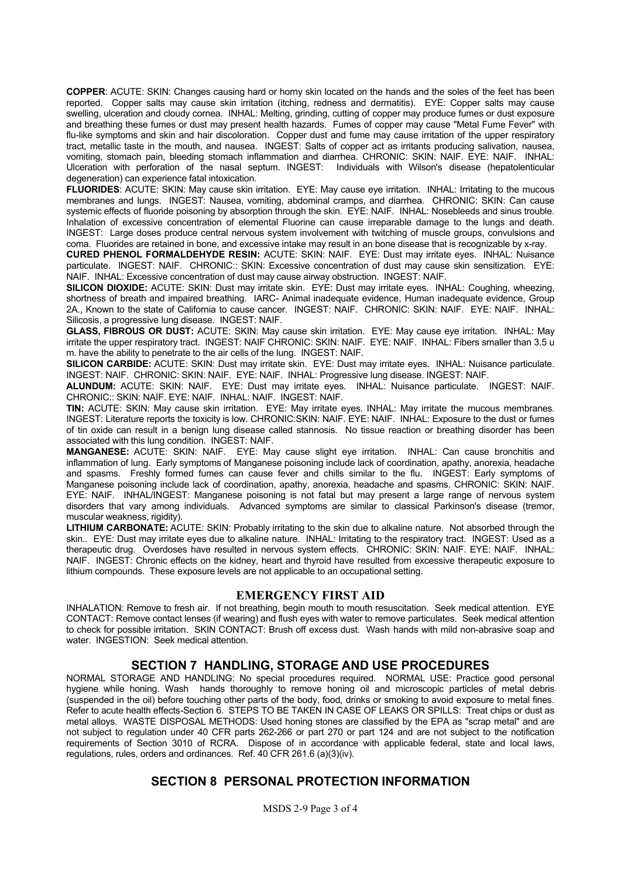**COPPER: ACUTE: SKIN: Changes causing hard or horny skin located on the hands and the soles of the feet has been reported. Copper salts may cause skin irritation (itching, redness and dermatitis). EYE: Copper salts may cause swelling, ulceration and cloudy cornea. INHAL: Melting, grinding, cutting of copper may produce fumes or dust exposure and breathing these fumes or dust may present health hazards. Fumes of copper may cause "Metal Fume Fever" with flu-like symptoms and skin and hair discoloration. Copper dust and fume may cause irritation of the upper respiratory tract, metallic taste in the mouth, and nausea. INGEST: Salts of copper act as irritants producing salivation, nausea, vomiting, stomach pain, bleeding stomach inflammation and diarrhea. CHRONIC: SKIN: NAIF. EYE: NAIF. INHAL: Ulceration with perforation of the nasal septum. INGEST: Individuals with Wilson's disease (hepatolenticular degeneration) can experience fatal intoxication.**

**FLUORIDES: ACUTE: SKIN: May cause skin irritation. EYE: May cause eye irritation. INHAL: Irritating to the mucous membranes and lungs. INGEST: Nausea, vomiting, abdominal cramps, and diarrhea. CHRONIC: SKIN: Can cause systemic effects of fluoride poisoning by absorption through the skin. EYE: NAIF. INHAL: Nosebleeds and sinus trouble. Inhalation of excessive concentration of elemental Fluorine can cause irreparable damage to the lungs and death. INGEST: Large doses produce central nervous system involvement with twitching of muscle groups, convulsions and coma. Fluorides are retained in bone, and excessive intake may result in an bone disease that is recognizable by x-ray.**

**CURED PHENOL FORMALDEHYDE RESIN: ACUTE: SKIN: NAIF. EYE: Dust may irritate eyes. INHAL: Nuisance particulate. INGEST: NAIF. CHRONIC:: SKIN: Excessive concentration of dust may cause skin sensitization. EYE: NAIF. INHAL: Excessive concentration of dust may cause airway obstruction. INGEST: NAIF.**

**SILICON DIOXIDE: ACUTE: SKIN: Dust may irritate skin. EYE: Dust may irritate eyes. INHAL: Coughing, wheezing, shortness of breath and impaired breathing. IARC- Animal inadequate evidence, Human inadequate evidence, Group 2A., Known to the state of California to cause cancer. INGEST: NAIF. CHRONIC: SKIN: NAIF. EYE: NAIF. INHAL: Silicosis, a progressive lung disease. INGEST: NAIF.**

**GLASS, FIBROUS OR DUST: ACUTE: SKIN: May cause skin irritation. EYE: May cause eye irritation. INHAL: May irritate the upper respiratory tract. INGEST: NAIF CHRONIC: SKIN: NAIF. EYE: NAIF. INHAL: Fibers smaller than 3.5 u m. have the ability to penetrate to the air cells of the lung. INGEST: NAIF.**

**SILICON CARBIDE: ACUTE: SKIN: Dust may irritate skin. EYE: Dust may irritate eyes. INHAL: Nuisance particulate. INGEST: NAIF. CHRONIC: SKIN: NAIF. EYE: NAIF. INHAL: Progressive lung disease. INGEST: NAIF.**

**ALUNDUM: ACUTE: SKIN: NAIF. EYE: Dust may irritate eyes. INHAL: Nuisance particulate. INGEST: NAIF. CHRONIC:: SKIN: NAIF. EYE: NAIF. INHAL: NAIF. INGEST: NAIF.**

**TIN: ACUTE: SKIN: May cause skin irritation. EYE: May irritate eyes. INHAL: May irritate the mucous membranes. INGEST: Literature reports the toxicity is low. CHRONIC:SKIN: NAIF. EYE: NAIF. INHAL: Exposure to the dust or fumes of tin oxide can result in a benign lung disease called stannosis. No tissue reaction or breathing disorder has been associated with this lung condition. INGEST: NAIF.**

**MANGANESE: ACUTE: SKIN: NAIF. EYE: May cause slight eye irritation. INHAL: Can cause bronchitis and inflammation of lung. Early symptoms of Manganese poisoning include lack of coordination, apathy, anorexia, headache and spasms. Freshly formed fumes can cause fever and chills similar to the flu. INGEST: Early symptoms of Manganese poisoning include lack of coordination, apathy, anorexia, headache and spasms. CHRONIC: SKIN: NAIF. EYE: NAIF. INHAL/INGEST: Manganese poisoning is not fatal but may present a large range of nervous system disorders that vary among individuals. Advanced symptoms are similar to classical Parkinson's disease (tremor, muscular weakness, rigidity).**

**LITHIUM CARBONATE: ACUTE: SKIN: Probably irritating to the skin due to alkaline nature. Not absorbed through the skin.. EYE: Dust may irritate eyes due to alkaline nature. INHAL: Irritating to the respiratory tract. INGEST: Used as a therapeutic drug. Overdoses have resulted in nervous system effects. CHRONIC: SKIN: NAIF. EYE: NAIF. INHAL: NAIF. INGEST: Chronic effects on the kidney, heart and thyroid have resulted from excessive therapeutic exposure to lithium compounds. These exposure levels are not applicable to an occupational setting.**

#### **EMERGENCY FIRST AID**

**INHALATION: Remove to fresh air. If not breathing, begin mouth to mouth resuscitation. Seek medical attention. EYE CONTACT: Remove contact lenses (if wearing) and flush eyes with water to remove particulates. Seek medical attention to check for possible irritation. SKIN CONTACT: Brush off excess dust. Wash hands with mild non-abrasive soap and water. INGESTION: Seek medical attention.**

## **SECTION 7 HANDLING, STORAGE AND USE PROCEDURES**

**NORMAL STORAGE AND HANDLING: No special procedures required. NORMAL USE: Practice good personal hygiene while honing. Wash hands thoroughly to remove honing oil and microscopic particles of metal debris (suspended in the oil) before touching other parts of the body, food, drinks or smoking to avoid exposure to metal fines. Refer to acute health effects-Section 6. STEPS TO BE TAKEN IN CASE OF LEAKS OR SPILLS: Treat chips or dust as metal alloys. WASTE DISPOSAL METHODS: Used honing stones are classified by the EPA as "scrap metal" and are not subject to regulation under 40 CFR parts 262-266 or part 270 or part 124 and are not subject to the notification requirements of Section 3010 of RCRA. Dispose of in accordance with applicable federal, state and local laws, regulations, rules, orders and ordinances. Ref. 40 CFR 261.6 (a)(3)(iv).**

# **SECTION 8 PERSONAL PROTECTION INFORMATION**

**MSDS 2-9 Page 3 of 4**